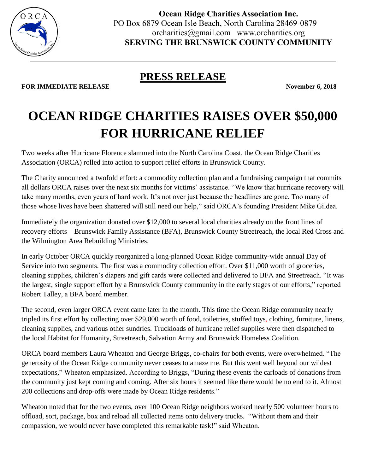

**Ocean Ridge Charities Association Inc.** PO Box 6879 Ocean Isle Beach, North Carolina 28469-0879 orcharities@gmail.com www.orcharities.org **SERVING THE BRUNSWICK COUNTY COMMUNITY**

## **PRESS RELEASE**

**FOR IMMEDIATE RELEASE November 6, 2018** 

## **OCEAN RIDGE CHARITIES RAISES OVER \$50,000 FOR HURRICANE RELIEF**

Two weeks after Hurricane Florence slammed into the North Carolina Coast, the Ocean Ridge Charities Association (ORCA) rolled into action to support relief efforts in Brunswick County.

The Charity announced a twofold effort: a commodity collection plan and a fundraising campaign that commits all dollars ORCA raises over the next six months for victims' assistance. "We know that hurricane recovery will take many months, even years of hard work. It's not over just because the headlines are gone. Too many of those whose lives have been shattered will still need our help," said ORCA's founding President Mike Gildea.

Immediately the organization donated over \$12,000 to several local charities already on the front lines of recovery efforts—Brunswick Family Assistance (BFA), Brunswick County Streetreach, the local Red Cross and the Wilmington Area Rebuilding Ministries.

In early October ORCA quickly reorganized a long-planned Ocean Ridge community-wide annual Day of Service into two segments. The first was a commodity collection effort. Over \$11,000 worth of groceries, cleaning supplies, children's diapers and gift cards were collected and delivered to BFA and Streetreach. "It was the largest, single support effort by a Brunswick County community in the early stages of our efforts," reported Robert Talley, a BFA board member.

The second, even larger ORCA event came later in the month. This time the Ocean Ridge community nearly tripled its first effort by collecting over \$29,000 worth of food, toiletries, stuffed toys, clothing, furniture, linens, cleaning supplies, and various other sundries. Truckloads of hurricane relief supplies were then dispatched to the local Habitat for Humanity, Streetreach, Salvation Army and Brunswick Homeless Coalition.

ORCA board members Laura Wheaton and George Briggs, co-chairs for both events, were overwhelmed. "The generosity of the Ocean Ridge community never ceases to amaze me. But this went well beyond our wildest expectations," Wheaton emphasized. According to Briggs, "During these events the carloads of donations from the community just kept coming and coming. After six hours it seemed like there would be no end to it. Almost 200 collections and drop-offs were made by Ocean Ridge residents."

Wheaton noted that for the two events, over 100 Ocean Ridge neighbors worked nearly 500 volunteer hours to offload, sort, package, box and reload all collected items onto delivery trucks. "Without them and their compassion, we would never have completed this remarkable task!" said Wheaton.